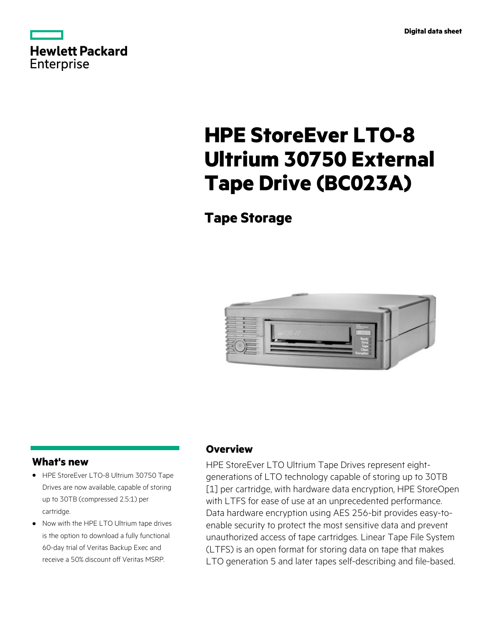|            | Hewlett Packard |
|------------|-----------------|
| Enterprise |                 |

# **HPE StoreEver LTO-8 Ultrium 30750 External Tape Drive (BC023A)**

# **Tape Storage**



# **What's new**

- HPE StoreEver LTO-8 Ultrium 30750 Tape **·** Drives are now available, capable of storing up to 30TB (compressed 2.5:1) per cartridge.
- Now with the HPE LTO Ultrium tape drives **·** is the option to download a fully functional 60-day trial of Veritas Backup Exec and receive a 50% discount off Veritas MSRP.

## **Overview**

HPE StoreEver LTO Ultrium Tape Drives represent eightgenerations of LTO technology capable of storing up to 30TB [1] per cartridge, with hardware data encryption, HPE StoreOpen with LTFS for ease of use at an unprecedented performance. Data hardware encryption using AES 256-bit provides easy-toenable security to protect the most sensitive data and prevent unauthorized access of tape cartridges. Linear Tape File System (LTFS) is an open format for storing data on tape that makes LTO generation 5 and later tapes self-describing and file-based.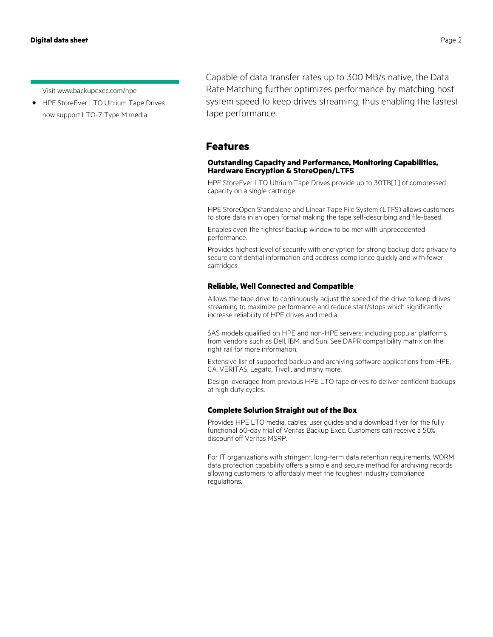Visit www.backupexec.com/hpe

HPE StoreEver LTO Ultrium Tape Drives now support LTO-7 Type M media **·**

Capable of data transfer rates up to 300 MB/s native, the Data Rate Matching further optimizes performance by matching host system speed to keep drives streaming, thus enabling the fastest tape performance.

#### **Features**

#### **Outstanding Capacity and Performance, Monitoring Capabilities, Hardware Encryption & StoreOpen/LTFS**

HPE StoreEver LTO Ultrium Tape Drives provide up to 30TB[1] of compressed capacity on a single cartridge.

HPE StoreOpen Standalone and Linear Tape File System (LTFS) allows customers to store data in an open format making the tape self-describing and file-based.

Enables even the tightest backup window to be met with unprecedented performance.

Provides highest level of security with encryption for strong backup data privacy to secure confidential information and address compliance quickly and with fewer cartridges.

#### **Reliable, Well Connected and Compatible**

Allows the tape drive to continuously adjust the speed of the drive to keep drives streaming to maximize performance and reduce start/stops which significantly increase reliability of HPE drives and media.

SAS models qualified on HPE and non-HPE servers; including popular platforms from vendors such as Dell, IBM, and Sun. See DAPR compatibility matrix on the right rail for more information.

Extensive list of supported backup and archiving software applications from HPE, CA, VERITAS, Legato, Tivoli, and many more.

Design leveraged from previous HPE LTO tape drives to deliver confident backups at high duty cycles.

#### **Complete Solution Straight out of the Box**

Provides HPE LTO media, cables, user guides and a download flyer for the fully functional 60-day trial of Veritas Backup Exec. Customers can receive a 50% discount off Veritas MSRP.

For IT organizations with stringent, long-term data retention requirements, WORM data protection capability offers a simple and secure method for archiving records allowing customers to affordably meet the toughest industry compliance regulations.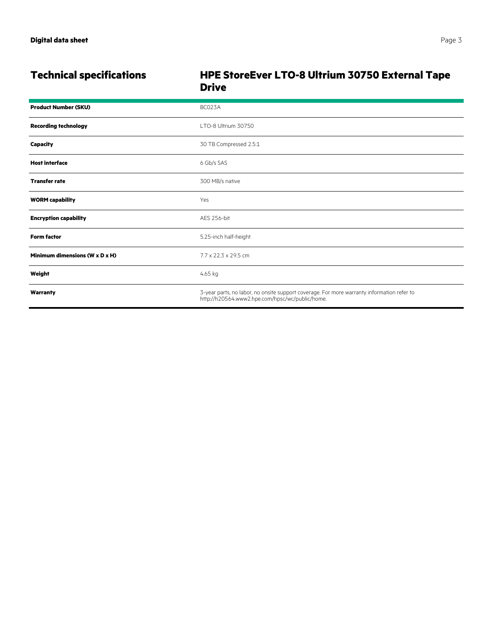|  |  | Pac |
|--|--|-----|
|  |  |     |

# **Technical specifications HPE StoreEver LTO-8 Ultrium 30750 External Tape Drive**

| <b>Product Number (SKU)</b>    | BC023A                                                                                                                                        |  |
|--------------------------------|-----------------------------------------------------------------------------------------------------------------------------------------------|--|
| <b>Recording technology</b>    | LTO-8 Ultrium 30750                                                                                                                           |  |
| <b>Capacity</b>                | 30 TB Compressed 2.5:1                                                                                                                        |  |
| <b>Host interface</b>          | 6 Gb/s SAS                                                                                                                                    |  |
| <b>Transfer rate</b>           | 300 MB/s native                                                                                                                               |  |
| <b>WORM capability</b>         | Yes                                                                                                                                           |  |
| <b>Encryption capability</b>   | AES 256-bit                                                                                                                                   |  |
| <b>Form factor</b>             | 5.25-inch half-height                                                                                                                         |  |
| Minimum dimensions (W x D x H) | 7.7 x 22.3 x 29.5 cm                                                                                                                          |  |
| Weight                         | 4.65 kg                                                                                                                                       |  |
| Warranty                       | 3-year parts, no labor, no onsite support coverage. For more warranty information refer to<br>http://h20564.www2.hpe.com/hpsc/wc/public/home. |  |